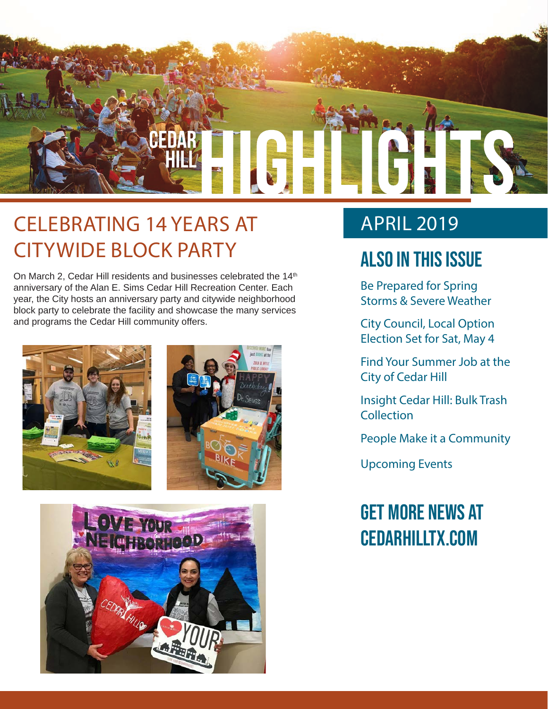

# CELEBRATING 14 YEARS AT CITYWIDE BLOCK PARTY

On March 2, Cedar Hill residents and businesses celebrated the 14<sup>th</sup> anniversary of the Alan E. Sims Cedar Hill Recreation Center. Each year, the City hosts an anniversary party and citywide neighborhood block party to celebrate the facility and showcase the many services and programs the Cedar Hill community offers.





# APRIL 2019

# Also In this Issue

Be Prepared for Spring Storms & Severe Weather

City Council, Local Option Election Set for Sat, May 4

Find Your Summer Job at the City of Cedar Hill

Insight Cedar Hill: Bulk Trash **Collection** 

People Make it a Community

Upcoming Events

# Get more news at cedarhilltx.com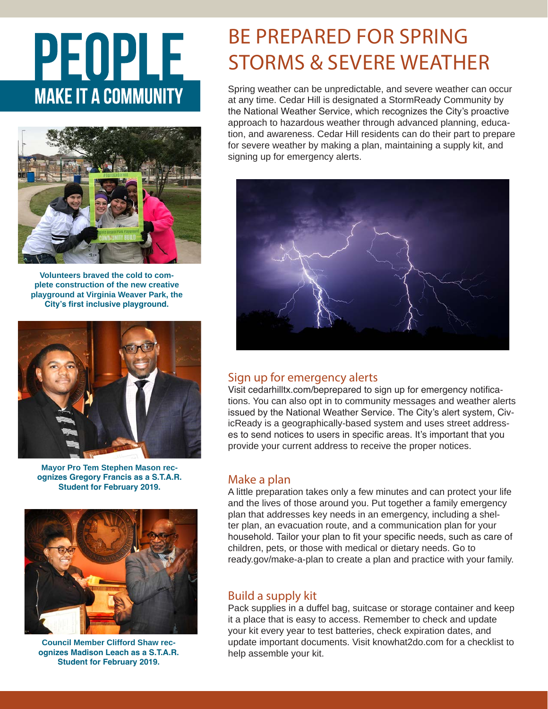# PEOPLE **MAKE IT A COMMUNITY**



**Volunteers braved the cold to complete construction of the new creative playground at Virginia Weaver Park, the City's first inclusive playground.**



**Mayor Pro Tem Stephen Mason recognizes Gregory Francis as a S.T.A.R. Student for February 2019.**



**Council Member Clifford Shaw recognizes Madison Leach as a S.T.A.R. Student for February 2019.**

# BE PREPARED FOR SPRING STORMS & SEVERE WEATHER

Spring weather can be unpredictable, and severe weather can occur at any time. Cedar Hill is designated a StormReady Community by the National Weather Service, which recognizes the City's proactive approach to hazardous weather through advanced planning, education, and awareness. Cedar Hill residents can do their part to prepare for severe weather by making a plan, maintaining a supply kit, and signing up for emergency alerts.



## Sign up for emergency alerts

Visit cedarhilltx.com/beprepared to sign up for emergency notifications. You can also opt in to community messages and weather alerts issued by the National Weather Service. The City's alert system, CivicReady is a geographically-based system and uses street addresses to send notices to users in specific areas. It's important that you provide your current address to receive the proper notices.

## Make a plan

A little preparation takes only a few minutes and can protect your life and the lives of those around you. Put together a family emergency plan that addresses key needs in an emergency, including a shelter plan, an evacuation route, and a communication plan for your household. Tailor your plan to fit your specific needs, such as care of children, pets, or those with medical or dietary needs. Go to ready.gov/make-a-plan to create a plan and practice with your family.

## Build a supply kit

Pack supplies in a duffel bag, suitcase or storage container and keep it a place that is easy to access. Remember to check and update your kit every year to test batteries, check expiration dates, and update important documents. Visit knowhat2do.com for a checklist to help assemble your kit.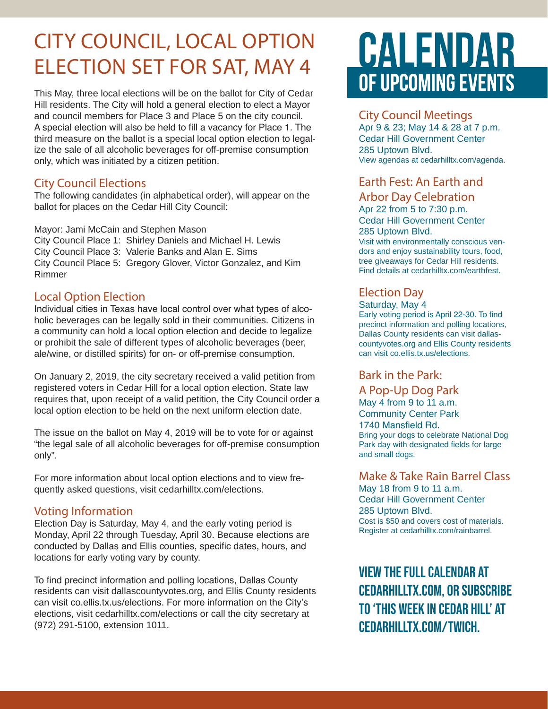# CITY COUNCIL, LOCAL OPTION ELECTION SET FOR SAT, MAY 4

This May, three local elections will be on the ballot for City of Cedar Hill residents. The City will hold a general election to elect a Mayor and council members for Place 3 and Place 5 on the city council. A special election will also be held to fill a vacancy for Place 1. The third measure on the ballot is a special local option election to legalize the sale of all alcoholic beverages for off-premise consumption only, which was initiated by a citizen petition.

### City Council Elections

The following candidates (in alphabetical order), will appear on the ballot for places on the Cedar Hill City Council:

Mayor: Jami McCain and Stephen Mason City Council Place 1: Shirley Daniels and Michael H. Lewis City Council Place 3: Valerie Banks and Alan E. Sims City Council Place 5: Gregory Glover, Victor Gonzalez, and Kim Rimmer

## Local Option Election

Individual cities in Texas have local control over what types of alcoholic beverages can be legally sold in their communities. Citizens in a community can hold a local option election and decide to legalize or prohibit the sale of different types of alcoholic beverages (beer, ale/wine, or distilled spirits) for on- or off-premise consumption.

On January 2, 2019, the city secretary received a valid petition from registered voters in Cedar Hill for a local option election. State law requires that, upon receipt of a valid petition, the City Council order a local option election to be held on the next uniform election date.

The issue on the ballot on May 4, 2019 will be to vote for or against "the legal sale of all alcoholic beverages for off-premise consumption only".

For more information about local option elections and to view frequently asked questions, visit cedarhilltx.com/elections.

### Voting Information

Election Day is Saturday, May 4, and the early voting period is Monday, April 22 through Tuesday, April 30. Because elections are conducted by Dallas and Ellis counties, specific dates, hours, and locations for early voting vary by county.

To find precinct information and polling locations, Dallas County residents can visit dallascountyvotes.org, and Ellis County residents can visit co.ellis.tx.us/elections. For more information on the City's elections, visit cedarhilltx.com/elections or call the city secretary at (972) 291-5100, extension 1011.

# CALENDAR OF UPCOMING EVENTS

### City Council Meetings

Apr 9 & 23; May 14 & 28 at 7 p.m. Cedar Hill Government Center 285 Uptown Blvd. View agendas at cedarhilltx.com/agenda.

## Earth Fest: An Earth and

### Arbor Day Celebration

Apr 22 from 5 to 7:30 p.m. Cedar Hill Government Center 285 Uptown Blvd.

Visit with environmentally conscious vendors and enjoy sustainability tours, food, tree giveaways for Cedar Hill residents. Find details at cedarhilltx.com/earthfest.

## Election Day

Saturday, May 4

Early voting period is April 22-30. To find precinct information and polling locations, Dallas County residents can visit dallascountyvotes.org and Ellis County residents can visit co.ellis.tx.us/elections.

## Bark in the Park:

### A Pop-Up Dog Park

May 4 from 9 to 11 a.m. Community Center Park 1740 Mansfield Rd. Bring your dogs to celebrate National Dog Park day with designated fields for large and small dogs.

Make & Take Rain Barrel Class May 18 from 9 to 11 a.m. Cedar Hill Government Center 285 Uptown Blvd. Cost is \$50 and covers cost of materials. Register at cedarhilltx.com/rainbarrel.

View the full calendar at cedarhilltx.com, or subscribe to 'This Week in Cedar Hill' at cedarhilltx.com/twich.